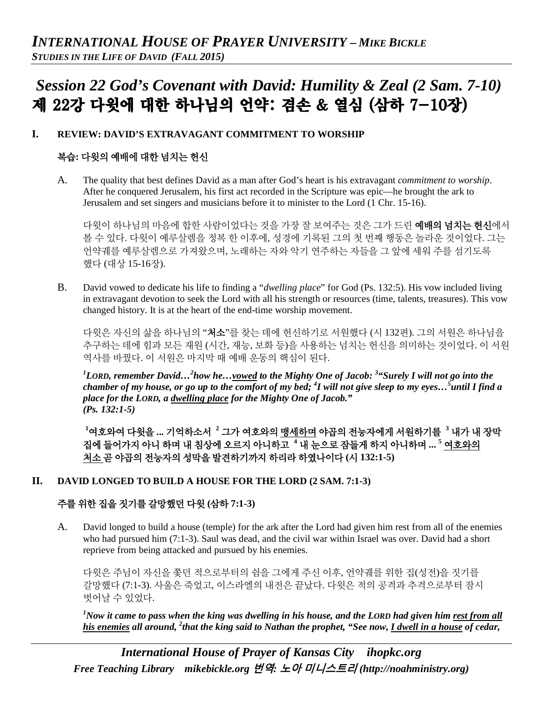# *Session 22 God's Covenant with David: Humility & Zeal (2 Sam. 7-10)* 제 22강 다윗에 대한 하나님의 언약: 겸손 & 열심 (삼하 7-10장)

## **I. REVIEW: DAVID'S EXTRAVAGANT COMMITMENT TO WORSHIP**

## 복습**:** 다윗의 예배에 대한 넘치는 헌신

A. The quality that best defines David as a man after God's heart is his extravagant *commitment to worship*. After he conquered Jerusalem, his first act recorded in the Scripture was epic—he brought the ark to Jerusalem and set singers and musicians before it to minister to the Lord (1 Chr. 15-16).

다윗이 하나님의 마음에 합한 사람이었다는 것을 가장 잘 보여주는 것은 그가 드린 **예배의 넘치는 헌신**에서 볼 수 있다. 다윗이 예루살렘을 정복 한 이후에, 성경에 기록된 그의 첫 번째 행동은 놀라운 것이었다. 그는 언약궤를 예루살렘으로 가져왔으며, 노래하는 자와 악기 연주하는 자들을 그 앞에 세워 주를 섬기도록 했다 (대상 15-16장).

B. David vowed to dedicate his life to finding a "*dwelling place*" for God (Ps. 132:5). His vow included living in extravagant devotion to seek the Lord with all his strength or resources (time, talents, treasures). This vow changed history. It is at the heart of the end-time worship movement.

다윗은 자신의 삶을 하나님의 "처소"를 찾는 데에 헌신하기로 서원했다 (시 132편). 그의 서원은 하나님을 추구하는 데에 힘과 모든 재원 (시간, 재능, 보화 등)을 사용하는 넘치는 헌신을 의미하는 것이었다. 이 서원 역사를 바꿨다. 이 서원은 마지막 때 예배 운동의 핵심이 된다.

*1 LORD, remember David…2 how he…vowed to the Mighty One of Jacob: <sup>3</sup> "Surely I will not go into the chamber of my house, or go up to the comfort of my bed; 4 I will not give sleep to my eyes…5 until I find a place for the LORD, a dwelling place for the Mighty One of Jacob." (Ps. 132:1-5)*

**1** 여호와여 다윗을 **...** 기억하소서 **<sup>2</sup>** 그가 여호와의 맹세하며 야곱의 전능자에게 서원하기를 **<sup>3</sup>** 내가 내 장막 집에 들어가지 아니 하며 내 침상에 오르지 아니하고 **<sup>4</sup>** 내 눈으로 잠들게 하지 아니하며 **... <sup>5</sup>** 여호와의 처소 곧 야곱의 전능자의 성막을 발견하기까지 하리라 하였나이다 **(**시 **132:1-5)**

## **II. DAVID LONGED TO BUILD A HOUSE FOR THE LORD (2 SAM. 7:1-3)**

## 주를 위한 집을 짓기를 갈망했던 다윗 **(**삼하 **7:1-3)**

A. David longed to build a house (temple) for the ark after the Lord had given him rest from all of the enemies who had pursued him (7:1-3). Saul was dead, and the civil war within Israel was over. David had a short reprieve from being attacked and pursued by his enemies.

다윗은 주님이 자신을 쫓던 적으로부터의 쉼을 그에게 주신 이후, 언약궤를 위한 집(성전)을 짓기를 갈망했다 (7:1-3). 사울은 죽었고, 이스라엘의 내전은 끝났다. 다윗은 적의 공격과 추격으로부터 잠시 벗어날 수 있었다.

*1 Now it came to pass when the king was dwelling in his house, and the LORD had given him rest from all his enemies all around, 2 that the king said to Nathan the prophet, "See now, I dwell in a house of cedar,* 

*International House of Prayer of Kansas City [ihopkc.org](http://www.ihopkc.org/) Free Teaching Library [mikebickle.org](http://www.mikebickle.org/)* 번역*:* 노아 미니스트리 *(http://noahministry.org)*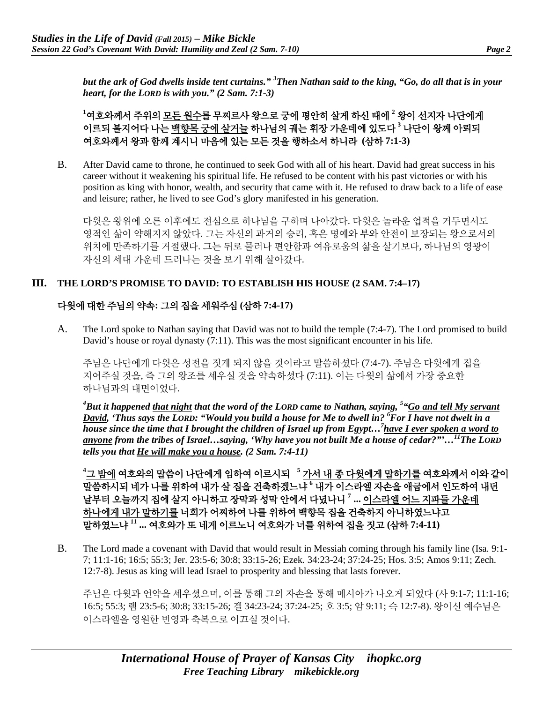*but the ark of God dwells inside tent curtains." 3 Then Nathan said to the king, "Go, do all that is in your heart, for the LORD is with you." (2 Sam. 7:1-3)*

**1** 여호와께서 주위의 모든 원수를 무찌르사 왕으로 궁에 평안히 살게 하신 때에 **<sup>2</sup>** 왕이 선지자 나단에게 이르되 볼지어다 나는 백향목 궁에 살거늘 하나님의 궤는 휘장 가운데에 있도다 **<sup>3</sup>** 나단이 왕께 아뢰되 여호와께서 왕과 함께 계시니 마음에 있는 모든 것을 행하소서 하니라 **(**삼하 **7:1-3)**

B. After David came to throne, he continued to seek God with all of his heart. David had great success in his career without it weakening his spiritual life. He refused to be content with his past victories or with his position as king with honor, wealth, and security that came with it. He refused to draw back to a life of ease and leisure; rather, he lived to see God's glory manifested in his generation.

다윗은 왕위에 오른 이후에도 전심으로 하나님을 구하며 나아갔다. 다윗은 놀라운 업적을 거두면서도 영적인 삶이 약해지지 않았다. 그는 자신의 과거의 승리, 혹은 명예와 부와 안전이 보장되는 왕으로서의 위치에 만족하기를 거절했다. 그는 뒤로 물러나 편안함과 여유로움의 삶을 살기보다, 하나님의 영광이 자신의 세대 가운데 드러나는 것을 보기 위해 살아갔다.

#### **III. THE LORD'S PROMISE TO DAVID: TO ESTABLISH HIS HOUSE (2 SAM. 7:4–17)**

## 다윗에 대한 주님의 약속**:** 그의 집을 세워주심 **(**삼하 **7:4-17)**

A. The Lord spoke to Nathan saying that David was not to build the temple (7:4-7). The Lord promised to build David's house or royal dynasty (7:11). This was the most significant encounter in his life.

주님은 나단에게 다윗은 성전을 짓게 되지 않을 것이라고 말씀하셨다 (7:4-7). 주님은 다윗에게 집을 지어주실 것을, 즉 그의 왕조를 세우실 것을 약속하셨다 (7:11). 이는 다윗의 삶에서 가장 중요한 하나님과의 대면이었다.

*4 But it happened that night that the word of the LORD came to Nathan, saying, 5 "Go and tell My servant David, 'Thus says the LORD: "Would you build a house for Me to dwell in? 6 For I have not dwelt in a house since the time that I brought the children of Israel up from Egypt…7 have I ever spoken a word to anyone from the tribes of Israel…saying, 'Why have you not built Me a house of cedar?"'…11The LORD tells you that He will make you a house. (2 Sam. 7:4-11)*

**4** 그 밤에 여호와의 말씀이 나단에게 임하여 이르시되 **<sup>5</sup>** 가서 내 종 다윗에게 말하기를 여호와께서 이와 같이 말씀하시되 네가 나를 위하여 내가 살 집을 건축하겠느냐 **<sup>6</sup>** 내가 이스라엘 자손을 애굽에서 인도하여 내던 날부터 오늘까지 집에 살지 아니하고 장막과 성막 안에서 다녔나니 **<sup>7</sup> ...** 이스라엘 어느 지파들 가운데 하나에게 내가 말하기를 너희가 어찌하여 나를 위하여 백향목 집을 건축하지 아니하였느냐고 말하였느냐 **<sup>11</sup> ...** 여호와가 또 네게 이르노니 여호와가 너를 위하여 집을 짓고 **(**삼하 **7:4-11)**

B. The Lord made a covenant with David that would result in Messiah coming through his family line (Isa. 9:1- 7; 11:1-16; 16:5; 55:3; Jer. 23:5-6; 30:8; 33:15-26; Ezek. 34:23-24; 37:24-25; Hos. 3:5; Amos 9:11; Zech. 12:7-8). Jesus as king will lead Israel to prosperity and blessing that lasts forever.

주님은 다윗과 언약을 세우셨으며, 이를 통해 그의 자손을 통해 메시아가 나오게 되었다 (사 9:1-7; 11:1-16; 16:5; 55:3; 렘 23:5-6; 30:8; 33:15-26; 겔 34:23-24; 37:24-25; 호 3:5; 암 9:11; 슥 12:7-8). 왕이신 예수님은 이스라엘을 영원한 번영과 축복으로 이끄실 것이다.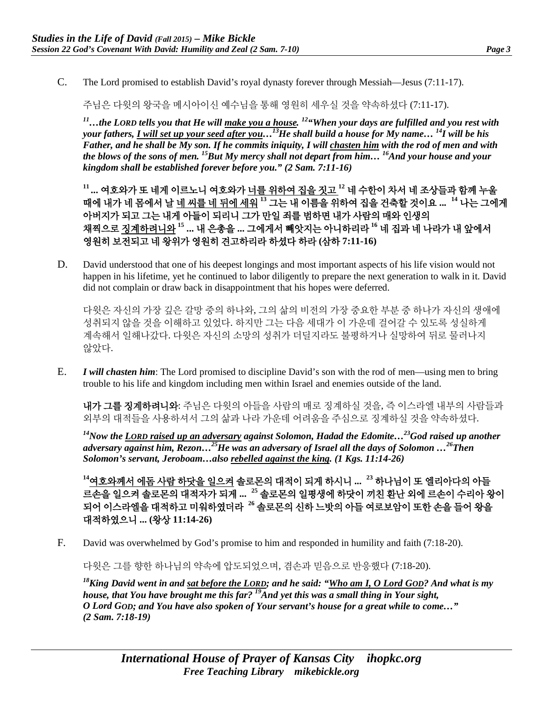C. The Lord promised to establish David's royal dynasty forever through Messiah—Jesus (7:11-17).

주님은 다윗의 왕국을 메시아이신 예수님을 통해 영원히 세우실 것을 약속하셨다 (7:11-17).

*11…the LORD tells you that He will make you a house. 12"When your days are fulfilled and you rest with your fathers, I will set up your seed after you…13He shall build a house for My name… 14I will be his Father, and he shall be My son. If he commits iniquity, I will chasten him with the rod of men and with the blows of the sons of men. 15But My mercy shall not depart from him… 16And your house and your kingdom shall be established forever before you." (2 Sam. 7:11-16)*

**<sup>11</sup> ...** 여호와가 또 네게 이르노니 여호와가 너를 위하여 집을 짓고 **<sup>12</sup>** 네 수한이 차서 네 조상들과 함께 누울 때에 내가 네 몸에서 날 네 씨를 네 뒤에 세워 **<sup>13</sup>** 그는 내 이름을 위하여 집을 건축할 것이요 **... <sup>14</sup>** 나는 그에게 아버지가 되고 그는 내게 아들이 되리니 그가 만일 죄를 범하면 내가 사람의 매와 인생의 채찍으로 징계하려니와 **<sup>15</sup> ...** 내 은총을 **...** 그에게서 빼앗지는 아니하리라 **<sup>16</sup>** 네 집과 네 나라가 내 앞에서 영원히 보전되고 네 왕위가 영원히 견고하리라 하셨다 하라 **(**삼하 **7:11-16)**

D. David understood that one of his deepest longings and most important aspects of his life vision would not happen in his lifetime, yet he continued to labor diligently to prepare the next generation to walk in it. David did not complain or draw back in disappointment that his hopes were deferred.

다윗은 자신의 가장 깊은 갈망 중의 하나와, 그의 삶의 비전의 가장 중요한 부분 중 하나가 자신의 생애에 성취되지 않을 것을 이해하고 있었다. 하지만 그는 다음 세대가 이 가운데 걸어갈 수 있도록 성실하게 계속해서 일해나갔다. 다윗은 자신의 소망의 성취가 더딜지라도 불평하거나 실망하여 뒤로 물러나지 않았다.

E. *I will chasten him*: The Lord promised to discipline David's son with the rod of men—using men to bring trouble to his life and kingdom including men within Israel and enemies outside of the land.

내가 그를 징계하려니와: 주님은 다윗의 아들을 사람의 매로 징계하실 것을, 즉 이스라엘 내부의 사람들과 외부의 대적들을 사용하셔서 그의 삶과 나라 가운데 어려움을 주심으로 징계하실 것을 약속하셨다.

*14Now the LORD raised up an adversary against Solomon, Hadad the Edomite…23God raised up another adversary against him, Rezon…25He was an adversary of Israel all the days of Solomon …26Then Solomon's servant, Jeroboam…also rebelled against the king. (1 Kgs. 11:14-26)*

**<sup>14</sup>**여호와께서 에돔 사람 하닷을 일으켜 솔로몬의 대적이 되게 하시니 **... <sup>23</sup>** 하나님이 또 엘리아다의 아들 르손을 일으켜 솔로몬의 대적자가 되게 **... <sup>25</sup>** 솔로몬의 일평생에 하닷이 끼친 환난 외에 르손이 수리아 왕이 되어 이스라엘을 대적하고 미워하였더라 **<sup>26</sup>** 솔로몬의 신하 느밧의 아들 여로보암이 또한 손을 들어 왕을 대적하였으니 **... (**왕상 **11:14-26)**

F. David was overwhelmed by God's promise to him and responded in humility and faith (7:18-20).

다윗은 그를 향한 하나님의 약속에 압도되었으며, 겸손과 믿음으로 반응했다 (7:18-20).

*18King David went in and sat before the LORD; and he said: "Who am I, O Lord GOD? And what is my house, that You have brought me this far? 19And yet this was a small thing in Your sight, O Lord GOD; and You have also spoken of Your servant's house for a great while to come…" (2 Sam. 7:18-19)*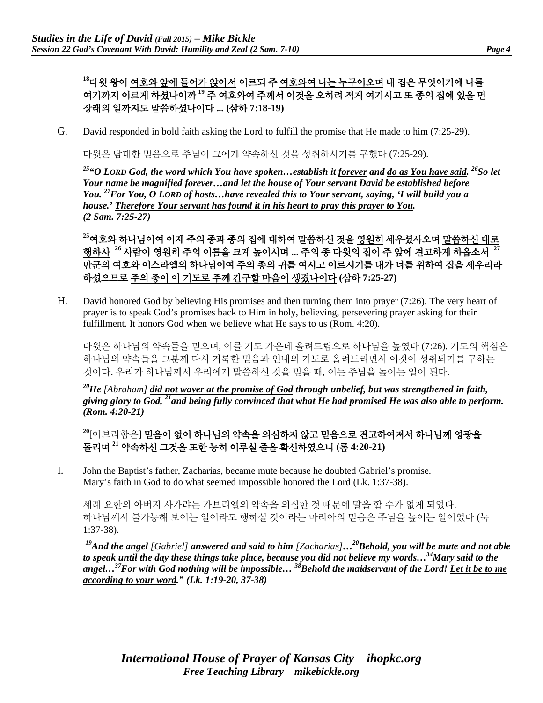**<sup>18</sup>**다윗 왕이 여호와 앞에 들어가 앉아서 이르되 주 여호와여 나는 누구이오며 내 집은 무엇이기에 나를 여기까지 이르게 하셨나이까 **<sup>19</sup>** 주 여호와여 주께서 이것을 오히려 적게 여기시고 또 종의 집에 있을 먼 장래의 일까지도 말씀하셨나이다 **... (**삼하 **7:18-19)**

G. David responded in bold faith asking the Lord to fulfill the promise that He made to him (7:25-29).

다윗은 담대한 믿음으로 주님이 그에게 약속하신 것을 성취하시기를 구했다 (7:25-29).

*25"O LORD God, the word which You have spoken…establish it forever and do as You have said. 26So let Your name be magnified forever…and let the house of Your servant David be established before You. 27For You, O LORD of hosts…have revealed this to Your servant, saying, 'I will build you a house.' Therefore Your servant has found it in his heart to pray this prayer to You. (2 Sam. 7:25-27)*

**<sup>25</sup>**여호와 하나님이여 이제 주의 종과 종의 집에 대하여 말씀하신 것을 영원히 세우셨사오며 말씀하신 대로 행하사 **<sup>26</sup>** 사람이 영원히 주의 이름을 크게 높이시며 **...** 주의 종 다윗의 집이 주 앞에 견고하게 하옵소서 **<sup>27</sup>** 만군의 여호와 이스라엘의 하나님이여 주의 종의 귀를 여시고 이르시기를 내가 너를 위하여 집을 세우리라 하셨으므로 주의 종이 이 기도로 주께 간구할 마음이 생겼나이다 **(**삼하 **7:25-27)**

H. David honored God by believing His promises and then turning them into prayer (7:26). The very heart of prayer is to speak God's promises back to Him in holy, believing, persevering prayer asking for their fulfillment. It honors God when we believe what He says to us (Rom. 4:20).

다윗은 하나님의 약속들을 믿으며, 이를 기도 가운데 올려드림으로 하나님을 높였다 (7:26). 기도의 핵심은 하나님의 약속들을 그분께 다시 거룩한 믿음과 인내의 기도로 올려드리면서 이것이 성취되기를 구하는 것이다. 우리가 하나님께서 우리에게 말씀하신 것을 믿을 때, 이는 주님을 높이는 일이 된다.

*20He [Abraham] did not waver at the promise of God through unbelief, but was strengthened in faith, giving glory to God, 21and being fully convinced that what He had promised He was also able to perform. (Rom. 4:20-21)*

**<sup>20</sup>**[아브라함은] 믿음이 없어 하나님의 약속을 의심하지 않고 믿음으로 견고하여져서 하나님께 영광을 돌리며 **<sup>21</sup>** 약속하신 그것을 또한 능히 이루실 줄을 확신하였으니 **(**롬 **4:20-21)**

I. John the Baptist's father, Zacharias, became mute because he doubted Gabriel's promise. Mary's faith in God to do what seemed impossible honored the Lord (Lk. 1:37-38).

세례 요한의 아버지 사가랴는 가브리엘의 약속을 의심한 것 때문에 말을 할 수가 없게 되었다. 하나님께서 불가능해 보이는 일이라도 행하실 것이라는 마리아의 믿음은 주님을 높이는 일이었다 (눅 1:37-38).

*19And the angel [Gabriel] answered and said to him [Zacharias]…20Behold, you will be mute and not able to speak until the day these things take place, because you did not believe my words…34Mary said to the angel…37For with God nothing will be impossible… 38Behold the maidservant of the Lord! Let it be to me according to your word." (Lk. 1:19-20, 37-38)*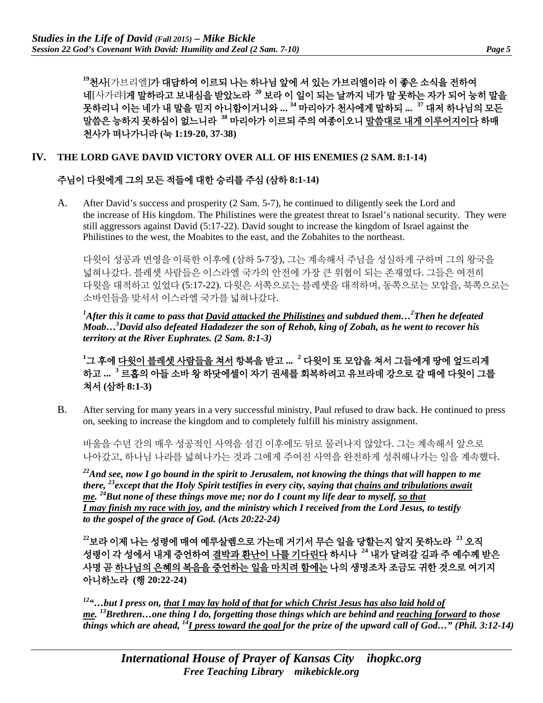**<sup>19</sup>**천사[가브리엘]가 대답하여 이르되 나는 하나님 앞에 서 있는 가브리엘이라 이 좋은 소식을 전하여 네[사가랴]게 말하라고 보내심을 받았노라 **<sup>20</sup>** 보라 이 일이 되는 날까지 네가 말 못하는 자가 되어 능히 말을 못하리니 이는 네가 내 말을 믿지 아니함이거니와 **... <sup>34</sup>** 마리아가 천사에게 말하되 **... <sup>37</sup>** 대저 하나님의 모든 말씀은 능하지 못하심이 없느니라 **<sup>38</sup>** 마리아가 이르되 주의 여종이오니 말씀대로 내게 이루어지이다 하매 천사가 떠나가니라 **(**눅 **1:19-20, 37-38)**

#### **IV. THE LORD GAVE DAVID VICTORY OVER ALL OF HIS ENEMIES (2 SAM. 8:1-14)**

## 주님이 다윗에게 그의 모든 적들에 대한 승리를 주심 **(**삼하 **8:1-14)**

A. After David's success and prosperity (2 Sam. 5-7), he continued to diligently seek the Lord and the increase of His kingdom. The Philistines were the greatest threat to Israel's national security. They were still aggressors against David (5:17-22). David sought to increase the kingdom of Israel against the Philistines to the west, the Moabites to the east, and the Zobahites to the northeast.

다윗이 성공과 번영을 이룩한 이후에 (삼하 5-7장), 그는 계속해서 주님을 성실하게 구하며 그의 왕국을 넓혀나갔다. 블레셋 사람들은 이스라엘 국가의 안전에 가장 큰 위협이 되는 존재였다. 그들은 여전히 다윗을 대적하고 있었다 (5:17-22). 다윗은 서쪽으로는 블레셋을 대적하며, 동쪽으로는 모압을, 북쪽으로는 소바인들을 맞서서 이스라엘 국가를 넓혀나갔다.

*1 After this it came to pass that David attacked the Philistines and subdued them…2 Then he defeated Moab…3 David also defeated Hadadezer the son of Rehob, king of Zobah, as he went to recover his territory at the River Euphrates. (2 Sam. 8:1-3)*

**1** 그 후에 다윗이 블레셋 사람들을 쳐서 항복을 받고 **... <sup>2</sup>** 다윗이 또 모압을 쳐서 그들에게 땅에 엎드리게 하고 **... <sup>3</sup>** 르홉의 아들 소바 왕 하닷에셀이 자기 권세를 회복하려고 유브라데 강으로 갈 때에 다윗이 그를 쳐서 **(**삼하 **8:1-3)**

B. After serving for many years in a very successful ministry, Paul refused to draw back. He continued to press on, seeking to increase the kingdom and to completely fulfill his ministry assignment.

바울을 수년 간의 매우 성공적인 사역을 섬긴 이후에도 뒤로 물러나지 않았다. 그는 계속해서 앞으로 나아갔고, 하나님 나라를 넓혀나가는 것과 그에게 주어진 사역을 완전하게 성취해나가는 일을 계속했다.

*22And see, now I go bound in the spirit to Jerusalem, not knowing the things that will happen to me there, 23except that the Holy Spirit testifies in every city, saying that chains and tribulations await me. 24But none of these things move me; nor do I count my life dear to myself, so that I may finish my race with joy, and the ministry which I received from the Lord Jesus, to testify to the gospel of the grace of God. (Acts 20:22-24)*

**<sup>22</sup>**보라 이제 나는 성령에 매여 예루살렘으로 가는데 거기서 무슨 일을 당할는지 알지 못하노라 **<sup>23</sup>** 오직 성령이 각 성에서 내게 증언하여 결박과 환난이 나를 기다린다 하시나 **<sup>24</sup>** 내가 달려갈 길과 주 예수께 받은 사명 곧 하나님의 은혜의 복음을 증언하는 일을 마치려 함에는 나의 생명조차 조금도 귀한 것으로 여기지 아니하노라 **(**행 **20:22-24)**

*12"…but I press on, that I may lay hold of that for which Christ Jesus has also laid hold of me. 13Brethren…one thing I do, forgetting those things which are behind and reaching forward to those things which are ahead, 14I press toward the goal for the prize of the upward call of God…" (Phil. 3:12-14)*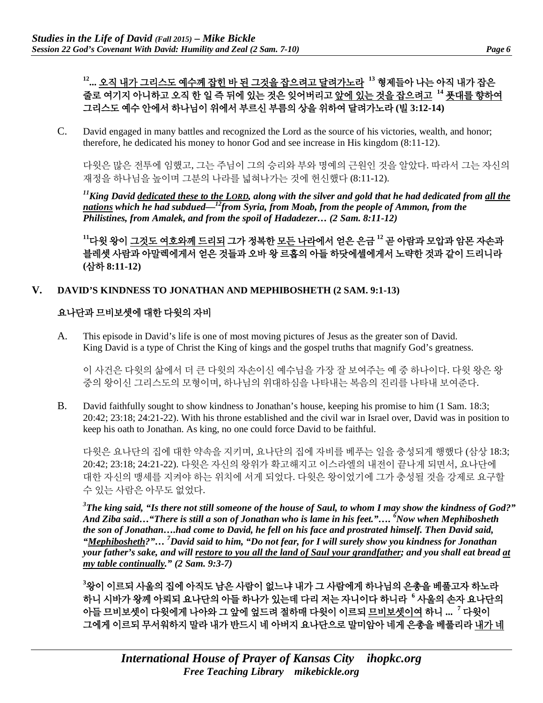## **12...** 오직 내가 그리스도 예수께 잡힌 바 된 그것을 잡으려고 달려가노라 **<sup>13</sup>** 형제들아 나는 아직 내가 잡은 줄로 여기지 아니하고 오직 한 일 즉 뒤에 있는 것은 잊어버리고 앞에 있는 것을 잡으려고 **<sup>14</sup>** 푯대를 향하여 그리스도 예수 안에서 하나님이 위에서 부르신 부름의 상을 위하여 달려가노라 **(**빌 **3:12-14)**

C. David engaged in many battles and recognized the Lord as the source of his victories, wealth, and honor; therefore, he dedicated his money to honor God and see increase in His kingdom (8:11-12).

다윗은 많은 전투에 임했고, 그는 주님이 그의 승리와 부와 명예의 근원인 것을 알았다. 따라서 그는 자신의 재정을 하나님을 높이며 그분의 나라를 넓혀나가는 것에 헌신했다 (8:11-12).

*11King David dedicated these to the LORD, along with the silver and gold that he had dedicated from all the*  nations which he had subdued—<sup>12</sup>from Syria, from Moab, from the people of Ammon, from the *Philistines, from Amalek, and from the spoil of Hadadezer… (2 Sam. 8:11-12)*

**<sup>11</sup>**다윗 왕이 그것도 여호와께 드리되 그가 정복한 모든 나라에서 얻은 은금 **<sup>12</sup>** 곧 아람과 모압과 암몬 자손과 블레셋 사람과 아말렉에게서 얻은 것들과 오바 왕 르홉의 아들 하닷에셀에게서 노략한 것과 같이 드리니라 **(**삼하 **8:11-12)**

#### **V. DAVID'S KINDNESS TO JONATHAN AND MEPHIBOSHETH (2 SAM. 9:1-13)**

## 요나단과 므비보셋에 대한 다윗의 자비

A. This episode in David's life is one of most moving pictures of Jesus as the greater son of David. King David is a type of Christ the King of kings and the gospel truths that magnify God's greatness.

이 사건은 다윗의 삶에서 더 큰 다윗의 자손이신 예수님을 가장 잘 보여주는 예 중 하나이다. 다윗 왕은 왕 중의 왕이신 그리스도의 모형이며, 하나님의 위대하심을 나타내는 복음의 진리를 나타내 보여준다.

B. David faithfully sought to show kindness to Jonathan's house, keeping his promise to him (1 Sam. 18:3; 20:42; 23:18; 24:21-22). With his throne established and the civil war in Israel over, David was in position to keep his oath to Jonathan. As king, no one could force David to be faithful.

다윗은 요나단의 집에 대한 약속을 지키며, 요나단의 집에 자비를 베푸는 일을 충성되게 행했다 (삼상 18:3; 20:42; 23:18; 24:21-22). 다윗은 자신의 왕위가 확고해지고 이스라엘의 내전이 끝나게 되면서, 요나단에 대한 자신의 맹세를 지켜야 하는 위치에 서게 되었다. 다윗은 왕이었기에 그가 충성될 것을 강제로 요구할 수 있는 사람은 아무도 없었다.

*3 The king said, "Is there not still someone of the house of Saul, to whom I may show the kindness of God?" And Ziba said…"There is still a son of Jonathan who is lame in his feet."…. <sup>6</sup> Now when Mephibosheth the son of Jonathan….had come to David, he fell on his face and prostrated himself. Then David said, "Mephibosheth?"… <sup>7</sup> David said to him, "Do not fear, for I will surely show you kindness for Jonathan your father's sake, and will restore to you all the land of Saul your grandfather; and you shall eat bread at my table continually." (2 Sam. 9:3-7)*

**3** 왕이 이르되 사울의 집에 아직도 남은 사람이 없느냐 내가 그 사람에게 하나님의 은총을 베풀고자 하노라 하니 시바가 왕께 아뢰되 요나단의 아들 하나가 있는데 다리 저는 자니이다 하니라 **<sup>6</sup>** 사울의 손자 요나단의 아들 므비보셋이 다윗에게 나아와 그 앞에 엎드려 절하매 다윗이 이르되 므비보셋이여 하니 **... <sup>7</sup>** 다윗이 그에게 이르되 무서워하지 말라 내가 반드시 네 아버지 요나단으로 말미암아 네게 은총을 베풀리라 내가 네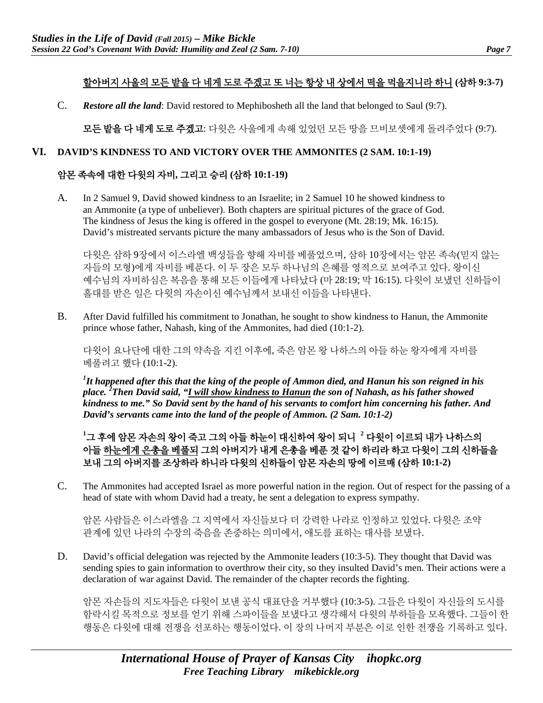# 할아버지 사울의 모든 밭을 다 네게 도로 주겠고 또 너는 항상 내 상에서 떡을 먹을지니라 하니 **(**삼하 **9:3-7)**

C. *Restore all the land*: David restored to Mephibosheth all the land that belonged to Saul (9:7).

모든 밭을 다 네게 도로 주겠고: 다윗은 사울에게 속해 있었던 모든 땅을 므비보셋에게 돌려주었다 (9:7).

#### **VI. DAVID'S KINDNESS TO AND VICTORY OVER THE AMMONITES (2 SAM. 10:1-19)**

## 암몬 족속에 대한 다윗의 자비**,** 그리고 승리 **(**삼하 **10:1-19)**

A. In 2 Samuel 9, David showed kindness to an Israelite; in 2 Samuel 10 he showed kindness to an Ammonite (a type of unbeliever). Both chapters are spiritual pictures of the grace of God. The kindness of Jesus the king is offered in the gospel to everyone (Mt. 28:19; Mk. 16:15). David's mistreated servants picture the many ambassadors of Jesus who is the Son of David.

다윗은 삼하 9장에서 이스라엘 백성들을 향해 자비를 베풀었으며, 삼하 10장에서는 암몬 족속(믿지 않는 자들의 모형)에게 자비를 베푼다. 이 두 장은 모두 하나님의 은혜를 영적으로 보여주고 있다. 왕이신 예수님의 자비하심은 복음을 통해 모든 이들에게 나타났다 (마 28:19; 막 16:15). 다윗이 보냈던 신하들이 홀대를 받은 일은 다윗의 자손이신 예수님께서 보내신 이들을 나타낸다.

B. After David fulfilled his commitment to Jonathan, he sought to show kindness to Hanun, the Ammonite prince whose father, Nahash, king of the Ammonites, had died (10:1-2).

다윗이 요나단에 대한 그의 약속을 지킨 이후에, 죽은 암몬 왕 나하스의 아들 하눈 왕자에게 자비를 베풀려고 했다 (10:1-2).

*1 It happened after this that the king of the people of Ammon died, and Hanun his son reigned in his place. <sup>2</sup> Then David said, "I will show kindness to Hanun the son of Nahash, as his father showed kindness to me." So David sent by the hand of his servants to comfort him concerning his father. And David's servants came into the land of the people of Ammon. (2 Sam. 10:1-2)*

**1** 그 후에 암몬 자손의 왕이 죽고 그의 아들 하눈이 대신하여 왕이 되니 **<sup>2</sup>** 다윗이 이르되 내가 나하스의 아들 하눈에게 은총을 베풀되 그의 아버지가 내게 은총을 베푼 것 같이 하리라 하고 다윗이 그의 신하들을 보내 그의 아버지를 조상하라 하니라 다윗의 신하들이 암몬 자손의 땅에 이르매 **(**삼하 **10:1-2)**

C. The Ammonites had accepted Israel as more powerful nation in the region. Out of respect for the passing of a head of state with whom David had a treaty, he sent a delegation to express sympathy.

암몬 사람들은 이스라엘을 그 지역에서 자신들보다 더 강력한 나라로 인정하고 있었다. 다윗은 조약 관계에 있던 나라의 수장의 죽음을 존중하는 의미에서, 애도를 표하는 대사를 보냈다.

D. David's official delegation was rejected by the Ammonite leaders (10:3-5). They thought that David was sending spies to gain information to overthrow their city, so they insulted David's men. Their actions were a declaration of war against David. The remainder of the chapter records the fighting.

암몬 자손들의 지도자들은 다윗이 보낸 공식 대표단을 거부했다 (10:3-5). 그들은 다윗이 자신들의 도시를 함락시킬 목적으로 정보를 얻기 위해 스파이들을 보냈다고 생각해서 다윗의 부하들을 모욕했다. 그들이 한 행동은 다윗에 대해 전쟁을 선포하는 행동이었다. 이 장의 나머지 부분은 이로 인한 전쟁을 기록하고 있다.